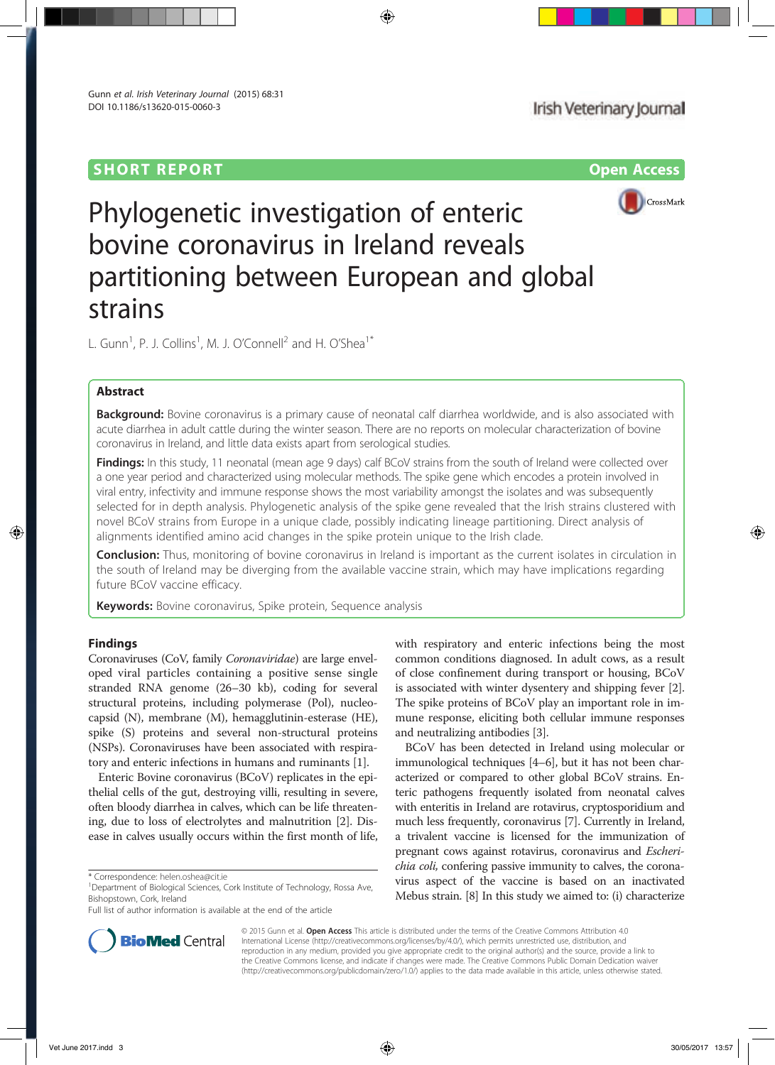# **SHORT REPORT CONSUMING THE CONSUMING OPEN ACCESS**



# Phylogenetic investigation of enteric bovine coronavirus in Ireland reveals partitioning between European and global strains

L. Gunn<sup>1</sup>, P. J. Collins<sup>1</sup>, M. J. O'Connell<sup>2</sup> and H. O'Shea<sup>1\*</sup>

# Abstract

Background: Bovine coronavirus is a primary cause of neonatal calf diarrhea worldwide, and is also associated with acute diarrhea in adult cattle during the winter season. There are no reports on molecular characterization of bovine coronavirus in Ireland, and little data exists apart from serological studies.

Findings: In this study, 11 neonatal (mean age 9 days) calf BCoV strains from the south of Ireland were collected over a one year period and characterized using molecular methods. The spike gene which encodes a protein involved in viral entry, infectivity and immune response shows the most variability amongst the isolates and was subsequently selected for in depth analysis. Phylogenetic analysis of the spike gene revealed that the Irish strains clustered with novel BCoV strains from Europe in a unique clade, possibly indicating lineage partitioning. Direct analysis of alignments identified amino acid changes in the spike protein unique to the Irish clade.

Conclusion: Thus, monitoring of bovine coronavirus in Ireland is important as the current isolates in circulation in the south of Ireland may be diverging from the available vaccine strain, which may have implications regarding future BCoV vaccine efficacy.

Keywords: Bovine coronavirus, Spike protein, Sequence analysis

# Findings

Coronaviruses (CoV, family Coronaviridae) are large enveloped viral particles containing a positive sense single stranded RNA genome (26–30 kb), coding for several structural proteins, including polymerase (Pol), nucleocapsid (N), membrane (M), hemagglutinin-esterase (HE), spike (S) proteins and several non-structural proteins (NSPs). Coronaviruses have been associated with respiratory and enteric infections in humans and ruminants [1].

Enteric Bovine coronavirus (BCoV) replicates in the epithelial cells of the gut, destroying villi, resulting in severe, often bloody diarrhea in calves, which can be life threatening, due to loss of electrolytes and malnutrition [2]. Disease in calves usually occurs within the first month of life, with respiratory and enteric infections being the most common conditions diagnosed. In adult cows, as a result of close confinement during transport or housing, BCoV is associated with winter dysentery and shipping fever [2]. The spike proteins of BCoV play an important role in immune response, eliciting both cellular immune responses and neutralizing antibodies [3].

BCoV has been detected in Ireland using molecular or immunological techniques [4–6], but it has not been characterized or compared to other global BCoV strains. Enteric pathogens frequently isolated from neonatal calves with enteritis in Ireland are rotavirus, cryptosporidium and much less frequently, coronavirus [7]. Currently in Ireland, a trivalent vaccine is licensed for the immunization of pregnant cows against rotavirus, coronavirus and Escherichia coli, confering passive immunity to calves, the coronavirus aspect of the vaccine is based on an inactivated Mebus strain. [8] In this study we aimed to: (i) characterize



© 2015 Gunn et al. Open Access This article is distributed under the terms of the Creative Commons Attribution 4.0 International License (http://creativecommons.org/licenses/by/4.0/), which permits unrestricted use, distribution, and reproduction in any medium, provided you give appropriate credit to the original author(s) and the source, provide a link to the Creative Commons license, and indicate if changes were made. The Creative Commons Public Domain Dedication waiver (http://creativecommons.org/publicdomain/zero/1.0/) applies to the data made available in this article, unless otherwise stated.

<sup>\*</sup> Correspondence: helen.oshea@cit.ie <sup>1</sup>

<sup>&</sup>lt;sup>1</sup>Department of Biological Sciences, Cork Institute of Technology, Rossa Ave, Bishopstown, Cork, Ireland

Full list of author information is available at the end of the article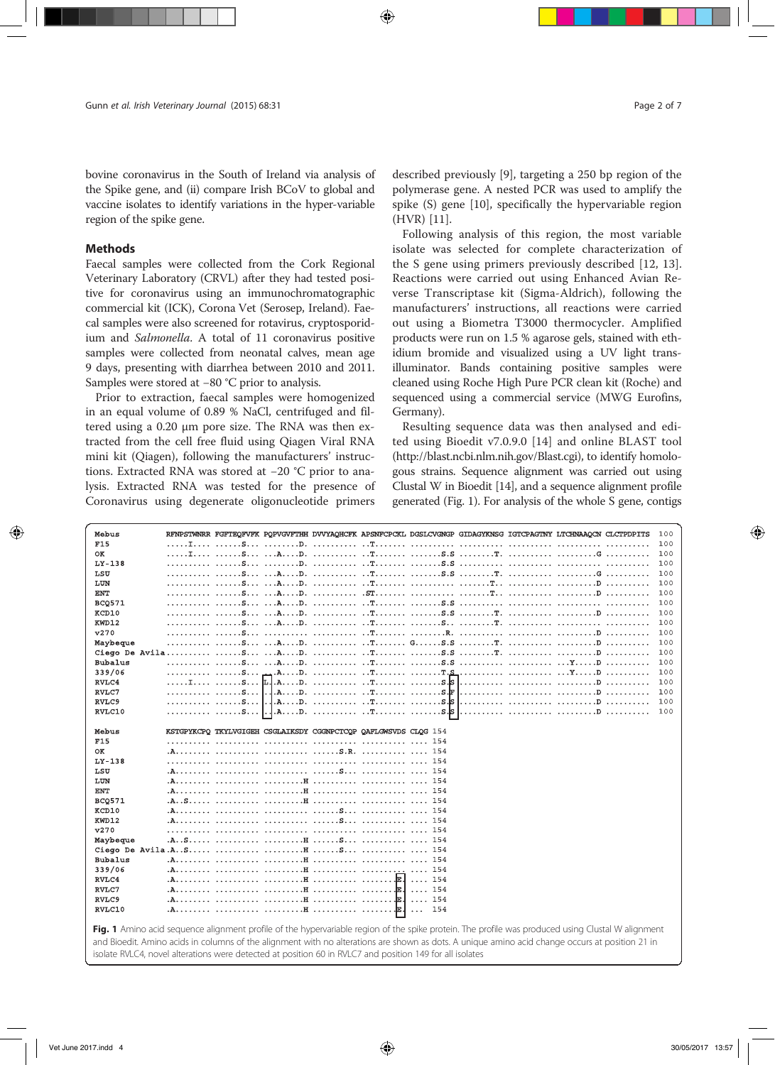bovine coronavirus in the South of Ireland via analysis of the Spike gene, and (ii) compare Irish BCoV to global and vaccine isolates to identify variations in the hyper-variable region of the spike gene.

## **Methods**

Faecal samples were collected from the Cork Regional Veterinary Laboratory (CRVL) after they had tested positive for coronavirus using an immunochromatographic commercial kit (ICK), Corona Vet (Serosep, Ireland). Faecal samples were also screened for rotavirus, cryptosporidium and Salmonella. A total of 11 coronavirus positive samples were collected from neonatal calves, mean age 9 days, presenting with diarrhea between 2010 and 2011. Samples were stored at −80 °C prior to analysis.

Prior to extraction, faecal samples were homogenized in an equal volume of 0.89 % NaCl, centrifuged and filtered using a 0.20 μm pore size. The RNA was then extracted from the cell free fluid using Qiagen Viral RNA mini kit (Qiagen), following the manufacturers' instructions. Extracted RNA was stored at −20 °C prior to analysis. Extracted RNA was tested for the presence of Coronavirus using degenerate oligonucleotide primers described previously [9], targeting a 250 bp region of the polymerase gene. A nested PCR was used to amplify the spike (S) gene [10], specifically the hypervariable region (HVR) [11].

Following analysis of this region, the most variable isolate was selected for complete characterization of the S gene using primers previously described [12, 13]. Reactions were carried out using Enhanced Avian Reverse Transcriptase kit (Sigma-Aldrich), following the manufacturers' instructions, all reactions were carried out using a Biometra T3000 thermocycler. Amplified products were run on 1.5 % agarose gels, stained with ethidium bromide and visualized using a UV light transilluminator. Bands containing positive samples were cleaned using Roche High Pure PCR clean kit (Roche) and sequenced using a commercial service (MWG Eurofins, Germany).

Resulting sequence data was then analysed and edited using Bioedit v7.0.9.0 [14] and online BLAST tool (http://blast.ncbi.nlm.nih.gov/Blast.cgi), to identify homologous strains. Sequence alignment was carried out using Clustal W in Bioedit [14], and a sequence alignment profile generated (Fig. 1). For analysis of the whole S gene, contigs

| Mebus          | RENPSTWNRR FGFTEQFVFK PQPVGVFTHH DVVYAQHCFK APSNFCPCKL DGSLCVGNGP GIDAGYKNSG IGTCPAGTNY LTCHNAAQCN CLCTPDPITS<br>100 |  |
|----------------|----------------------------------------------------------------------------------------------------------------------|--|
| F15            | 100                                                                                                                  |  |
| OK             | 100                                                                                                                  |  |
| $LY-138$       | 100                                                                                                                  |  |
| LSU            | 100                                                                                                                  |  |
| LUN            | 100                                                                                                                  |  |
| <b>ENT</b>     | 100                                                                                                                  |  |
| <b>BCO571</b>  | 100                                                                                                                  |  |
| KCD10          | 100                                                                                                                  |  |
| KWD12          | 100                                                                                                                  |  |
| v270           | 100                                                                                                                  |  |
| Maybeque       | 100                                                                                                                  |  |
|                | 100                                                                                                                  |  |
| <b>Bubalus</b> | 100                                                                                                                  |  |
| 339/06         | 100                                                                                                                  |  |
| RVLC4          | 100                                                                                                                  |  |
| RVLC7          | $. A. \ldots. D. \ldots. \ldots. \ldots. \ldots.$<br>100                                                             |  |
| RVLC9          | 100                                                                                                                  |  |
| RVLC10         | .AD.  T S.S<br>. s. 1. . 1<br>100                                                                                    |  |
|                |                                                                                                                      |  |
| Mebus          | KSTGPYKCPO TKYLVGIGEH CSGLAIKSDY CGGNPCTCOP OAFLGWSVDS CLOG 154                                                      |  |
| <b>F15</b>     | 154                                                                                                                  |  |
| OK             |                                                                                                                      |  |
| $LY-138$       |                                                                                                                      |  |
| LSU            |                                                                                                                      |  |
| LUN            |                                                                                                                      |  |
| <b>ENT</b>     |                                                                                                                      |  |
| <b>BCQ571</b>  |                                                                                                                      |  |
| KCD10          |                                                                                                                      |  |
| KWD12          |                                                                                                                      |  |
| v270           |                                                                                                                      |  |
| Maybeque       |                                                                                                                      |  |
|                |                                                                                                                      |  |
| <b>Bubalus</b> |                                                                                                                      |  |
| 339/06         |                                                                                                                      |  |
| RVLC4          | $\ldots$ 154                                                                                                         |  |
| RVLC7          | 154<br><b>Salar</b>                                                                                                  |  |
| RVLC9          | 154<br><b>Sand</b>                                                                                                   |  |
| RVLC10         | Jв.,<br>154                                                                                                          |  |
|                | <b>Contract Contract</b><br>$\sim$ $\sim$ 1                                                                          |  |

Fig. 1 Amino acid sequence alignment profile of the hypervariable region of the spike protein. The profile was produced using Clustal W alignment and Bioedit. Amino acids in columns of the alignment with no alterations are shown as dots. A unique amino acid change occurs at position 21 in isolate RVLC4, novel alterations were detected at position 60 in RVLC7 and position 149 for all isolates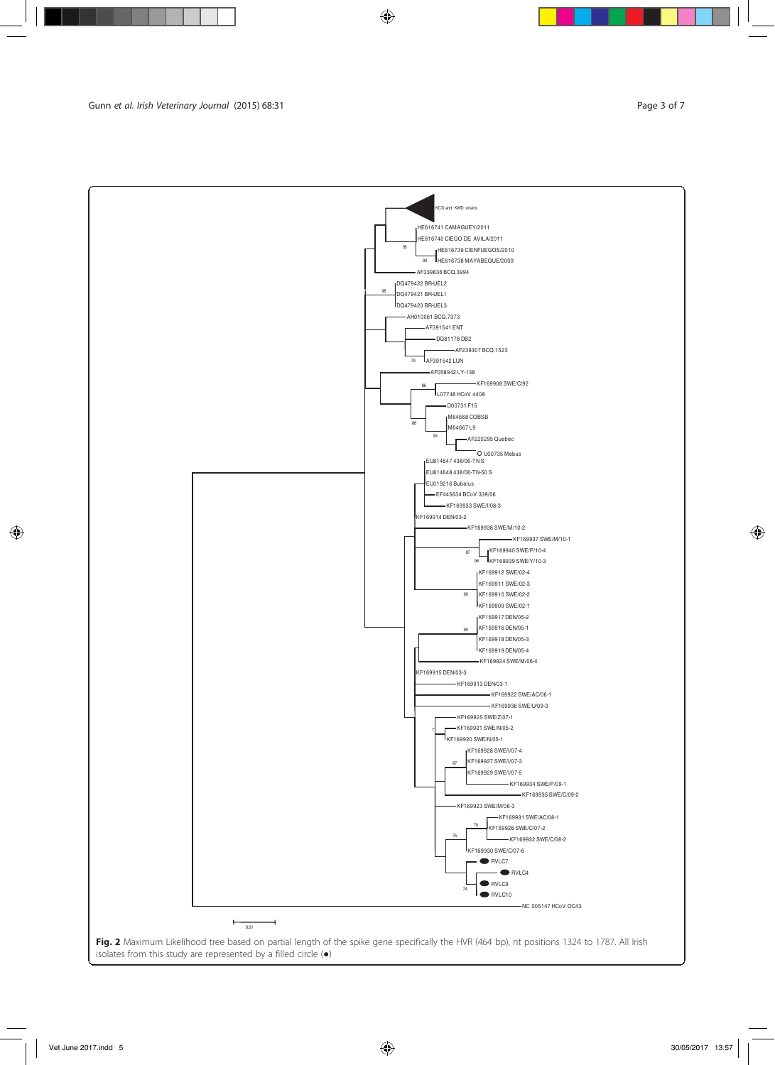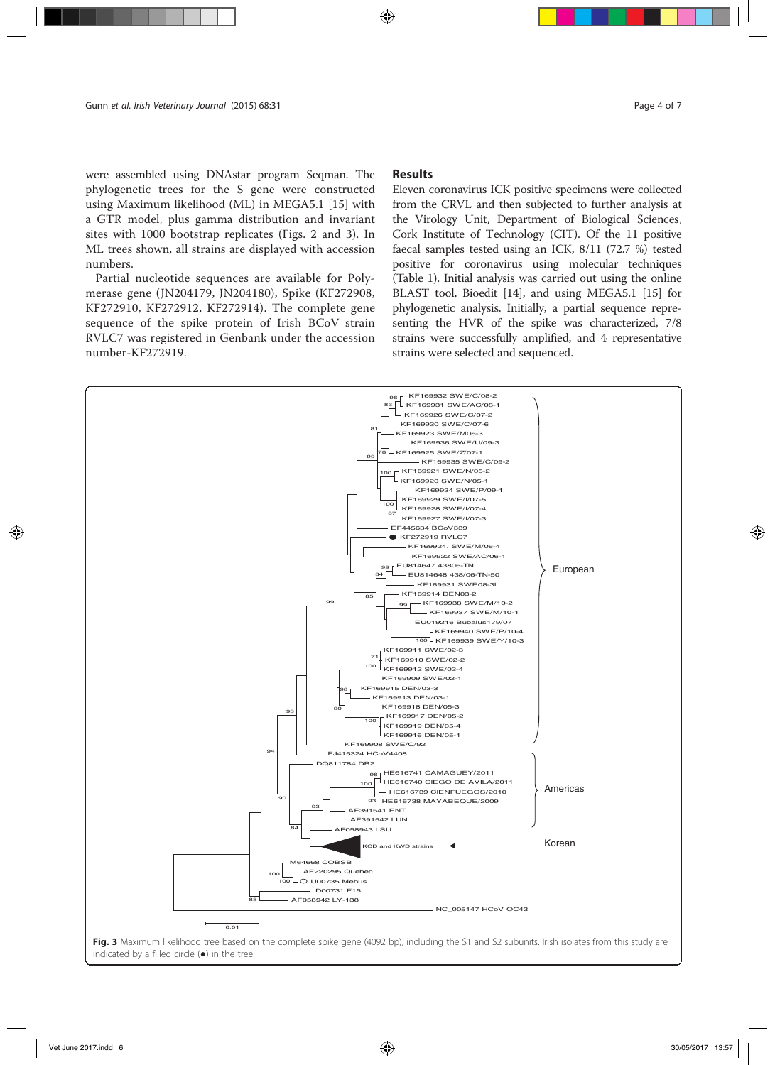were assembled using DNAstar program Seqman. The phylogenetic trees for the S gene were constructed using Maximum likelihood (ML) in MEGA5.1 [15] with a GTR model, plus gamma distribution and invariant sites with 1000 bootstrap replicates (Figs. 2 and 3). In ML trees shown, all strains are displayed with accession numbers.

Partial nucleotide sequences are available for Polymerase gene (JN204179, JN204180), Spike (KF272908, KF272910, KF272912, KF272914). The complete gene sequence of the spike protein of Irish BCoV strain RVLC7 was registered in Genbank under the accession number-KF272919.

## Results

Eleven coronavirus ICK positive specimens were collected from the CRVL and then subjected to further analysis at the Virology Unit, Department of Biological Sciences, Cork Institute of Technology (CIT). Of the 11 positive faecal samples tested using an ICK, 8/11 (72.7 %) tested positive for coronavirus using molecular techniques (Table 1). Initial analysis was carried out using the online BLAST tool, Bioedit [14], and using MEGA5.1 [15] for phylogenetic analysis. Initially, a partial sequence representing the HVR of the spike was characterized, 7/8 strains were successfully amplified, and 4 representative strains were selected and sequenced.

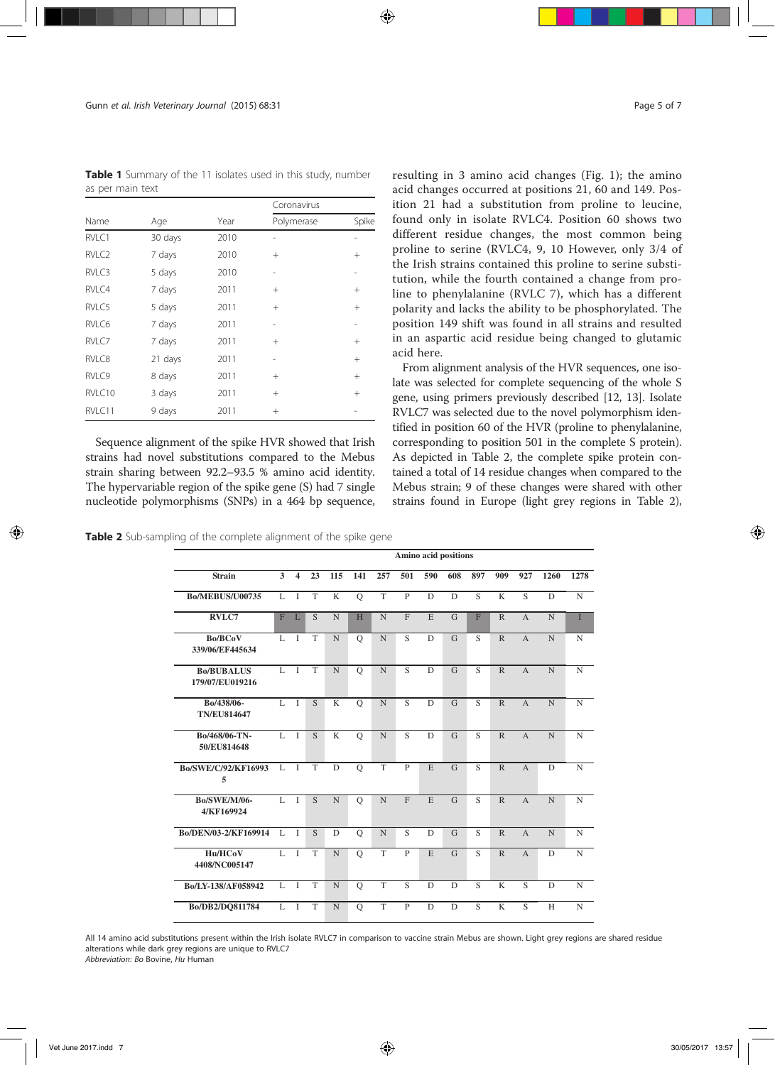Table 1 Summary of the 11 isolates used in this study, number as per main text

|                   |         |      | Coronavirus |        |  |  |  |
|-------------------|---------|------|-------------|--------|--|--|--|
| Name              | Age     | Year | Polymerase  | Spike  |  |  |  |
| RVLC1             | 30 days | 2010 |             |        |  |  |  |
| RVLC <sub>2</sub> | 7 days  | 2010 | $^{+}$      | $^{+}$ |  |  |  |
| RVLC3             | 5 days  | 2010 |             | -      |  |  |  |
| RVLC4             | 7 days  | 2011 | $+$         | $^{+}$ |  |  |  |
| RVLC5             | 5 days  | 2011 | $^{+}$      | $^{+}$ |  |  |  |
| RVLC6             | 7 days  | 2011 |             |        |  |  |  |
| RVLC7             | 7 days  | 2011 | $^{+}$      | $^{+}$ |  |  |  |
| RVLC8             | 21 days | 2011 |             | $^{+}$ |  |  |  |
| RVLC9             | 8 days  | 2011 | $^{+}$      | $^{+}$ |  |  |  |
| RVLC10            | 3 days  | 2011 | $+$         | $^{+}$ |  |  |  |
| RVLC11            | 9 days  | 2011 | $^{+}$      |        |  |  |  |

Sequence alignment of the spike HVR showed that Irish strains had novel substitutions compared to the Mebus strain sharing between 92.2–93.5 % amino acid identity. The hypervariable region of the spike gene (S) had 7 single nucleotide polymorphisms (SNPs) in a 464 bp sequence,

resulting in 3 amino acid changes (Fig. 1); the amino acid changes occurred at positions 21, 60 and 149. Position 21 had a substitution from proline to leucine, found only in isolate RVLC4. Position 60 shows two different residue changes, the most common being proline to serine (RVLC4, 9, 10 However, only 3/4 of the Irish strains contained this proline to serine substitution, while the fourth contained a change from proline to phenylalanine (RVLC 7), which has a different polarity and lacks the ability to be phosphorylated. The position 149 shift was found in all strains and resulted in an aspartic acid residue being changed to glutamic acid here.

From alignment analysis of the HVR sequences, one isolate was selected for complete sequencing of the whole S gene, using primers previously described [12, 13]. Isolate RVLC7 was selected due to the novel polymorphism identified in position 60 of the HVR (proline to phenylalanine, corresponding to position 501 in the complete S protein). As depicted in Table 2, the complete spike protein contained a total of 14 residue changes when compared to the Mebus strain; 9 of these changes were shared with other strains found in Europe (light grey regions in Table 2),

|  |  |  |  | Table 2 Sub-sampling of the complete alignment of the spike gene |
|--|--|--|--|------------------------------------------------------------------|
|--|--|--|--|------------------------------------------------------------------|

|                                      | Amino acid positions |                         |                |                |               |                |                |                |                |                |                         |                |                |             |
|--------------------------------------|----------------------|-------------------------|----------------|----------------|---------------|----------------|----------------|----------------|----------------|----------------|-------------------------|----------------|----------------|-------------|
| <b>Strain</b>                        | 3                    | $\overline{\mathbf{4}}$ | 23             | 115            | 141           | 257            | 501            | 590            | 608            | 897            | 909                     | 927            | 1260           | 1278        |
| <b>Bo/MEBUS/U00735</b>               | L                    | I                       | T              | K              | $\mathbf Q$   | T              | $\mathbf{P}$   | D              | D              | $\overline{S}$ | K                       | S              | D              | $\mathbf N$ |
| RVLC7                                | F                    | L                       | S              | $\mathbf N$    | H             | $\mathbf N$    | F              | E              | $\mathbf G$    | $\overline{F}$ | $\mathbb{R}$            | $\overline{A}$ | $\mathbf N$    | T           |
| <b>Bo/BCoV</b><br>339/06/EF445634    | L                    | $\mathbf I$             | T              | $\mathbf N$    | $\mathcal{O}$ | $\mathbf N$    | S              | D              | G              | S              | $\mathbb{R}$            | $\overline{A}$ | N              | N           |
| <b>Bo/BUBALUS</b><br>179/07/EU019216 | L                    | $\overline{I}$          | T              | $\mathbf N$    | $\circ$       | $\overline{N}$ | $\overline{S}$ | D              | $\overline{G}$ | $\overline{S}$ | $\overline{R}$          | $\overline{A}$ | $\overline{N}$ | $\mathbf N$ |
| Bo/438/06-<br><b>TN/EU814647</b>     | L                    | $\mathbf{I}$            | S              | K              | $\circ$       | $\mathbf N$    | S              | D              | $\mathsf{G}$   | $\overline{S}$ | $\mathbb{R}$            | $\overline{A}$ | N              | $\mathbf N$ |
| Bo/468/06-TN-<br>50/EU814648         | $\overline{L}$       | $\overline{I}$          | $\overline{S}$ | $\overline{K}$ | $\circ$       | $\overline{N}$ | $\overline{S}$ | $\overline{D}$ | $\overline{G}$ | $\overline{S}$ | $\overline{R}$          | $\overline{A}$ | $\overline{N}$ | $\mathbf N$ |
| Bo/SWE/C/92/KF16993<br>5             | L                    | $\overline{I}$          | T              | D              | $\mathbf Q$   | T              | $\overline{P}$ | E              | $\overline{G}$ | $\overline{S}$ | $\mathbb{R}$            | $\overline{A}$ | D              | $\mathbf N$ |
| <b>Bo/SWE/M/06-</b><br>4/KF169924    | L                    | $\mathbf{I}$            | S              | N              | $\circ$       | $\overline{N}$ | $\mathbf{F}$   | E              | G              | S              | $\mathbb{R}$            | $\overline{A}$ | N              | $\mathbf N$ |
| Bo/DEN/03-2/KF169914                 | L                    | $\mathbf{I}$            | S              | D              | $\circ$       | $\mathbf N$    | S              | D              | G              | S              | $\mathbb{R}$            | $\overline{A}$ | N              | $\mathbf N$ |
| Hu/HCoV<br>4408/NC005147             | L                    | $\mathbf{I}$            | T              | $\mathbf N$    | $\circ$       | $\overline{T}$ | $\mathbf{P}$   | E              | $\overline{G}$ | $\overline{S}$ | $\mathbb{R}$            | $\overline{A}$ | D              | $\mathbf N$ |
| Bo/LY-138/AF058942                   | L                    | $\mathbf{I}$            | T              | $\mathbf N$    | $\mathbf Q$   | T              | $\overline{S}$ | D              | $\mathbf D$    | $\overline{S}$ | $\overline{\mathbf{K}}$ | $\overline{S}$ | D              | $\mathbf N$ |
| Bo/DB2/DO811784                      | L                    | $\mathbf{I}$            | T              | $\mathbf N$    | $\circ$       | T              | P              | D              | D              | S              | K                       | S              | H              | N           |

All 14 amino acid substitutions present within the Irish isolate RVLC7 in comparison to vaccine strain Mebus are shown. Light grey regions are shared residue alterations while dark grey regions are unique to RVLC7 Abbreviation: Bo Bovine, Hu Human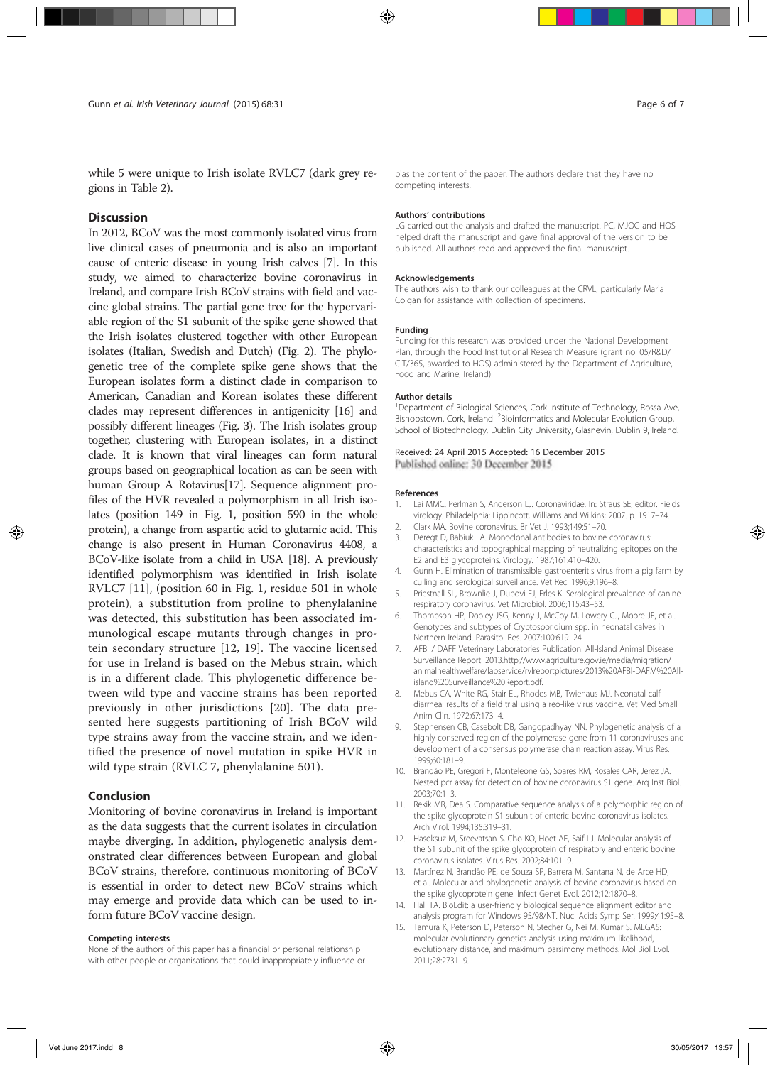while 5 were unique to Irish isolate RVLC7 (dark grey regions in Table 2).

## **Discussion**

In 2012, BCoV was the most commonly isolated virus from live clinical cases of pneumonia and is also an important cause of enteric disease in young Irish calves [7]. In this study, we aimed to characterize bovine coronavirus in Ireland, and compare Irish BCoV strains with field and vaccine global strains. The partial gene tree for the hypervariable region of the S1 subunit of the spike gene showed that the Irish isolates clustered together with other European isolates (Italian, Swedish and Dutch) (Fig. 2). The phylogenetic tree of the complete spike gene shows that the European isolates form a distinct clade in comparison to American, Canadian and Korean isolates these different clades may represent differences in antigenicity [16] and possibly different lineages (Fig. 3). The Irish isolates group together, clustering with European isolates, in a distinct clade. It is known that viral lineages can form natural groups based on geographical location as can be seen with human Group A Rotavirus[17]. Sequence alignment profiles of the HVR revealed a polymorphism in all Irish isolates (position 149 in Fig. 1, position 590 in the whole protein), a change from aspartic acid to glutamic acid. This change is also present in Human Coronavirus 4408, a BCoV-like isolate from a child in USA [18]. A previously identified polymorphism was identified in Irish isolate RVLC7 [11], (position 60 in Fig. 1, residue 501 in whole protein), a substitution from proline to phenylalanine was detected, this substitution has been associated immunological escape mutants through changes in protein secondary structure [12, 19]. The vaccine licensed for use in Ireland is based on the Mebus strain, which is in a different clade. This phylogenetic difference between wild type and vaccine strains has been reported previously in other jurisdictions [20]. The data presented here suggests partitioning of Irish BCoV wild type strains away from the vaccine strain, and we identified the presence of novel mutation in spike HVR in wild type strain (RVLC 7, phenylalanine 501).

## Conclusion

Monitoring of bovine coronavirus in Ireland is important as the data suggests that the current isolates in circulation maybe diverging. In addition, phylogenetic analysis demonstrated clear differences between European and global BCoV strains, therefore, continuous monitoring of BCoV is essential in order to detect new BCoV strains which may emerge and provide data which can be used to inform future BCoV vaccine design.

#### Competing interests

None of the authors of this paper has a financial or personal relationship with other people or organisations that could inappropriately influence or bias the content of the paper. The authors declare that they have no competing interests.

#### Authors' contributions

LG carried out the analysis and drafted the manuscript. PC, MJOC and HOS helped draft the manuscript and gave final approval of the version to be published. All authors read and approved the final manuscript.

#### Acknowledgements

The authors wish to thank our colleagues at the CRVL, particularly Maria Colgan for assistance with collection of specimens.

#### Funding

Funding for this research was provided under the National Development Plan, through the Food Institutional Research Measure (grant no. 05/R&D/ CIT/365, awarded to HOS) administered by the Department of Agriculture, Food and Marine, Ireland).

#### Author details

<sup>1</sup>Department of Biological Sciences, Cork Institute of Technology, Rossa Ave, Bishopstown, Cork, Ireland. <sup>2</sup> Bioinformatics and Molecular Evolution Group, School of Biotechnology, Dublin City University, Glasnevin, Dublin 9, Ireland.

#### Received: 24 April 2015 Accepted: 16 December 2015 Published online: 30 December 2015

## References

- 1. Lai MMC, Perlman S, Anderson LJ. Coronaviridae. In: Straus SE, editor. Fields virology. Philadelphia: Lippincott, Williams and Wilkins; 2007. p. 1917–74.
- 2. Clark MA. Bovine coronavirus. Br Vet J. 1993;149:51–70.
- 3. Deregt D, Babiuk LA. Monoclonal antibodies to bovine coronavirus: characteristics and topographical mapping of neutralizing epitopes on the E2 and E3 glycoproteins. Virology. 1987;161:410–420.
- 4. Gunn H. Elimination of transmissible gastroenteritis virus from a pig farm by culling and serological surveillance. Vet Rec. 1996;9:196–8.
- 5. Priestnall SL, Brownlie J, Dubovi EJ, Erles K. Serological prevalence of canine respiratory coronavirus. Vet Microbiol. 2006;115:43–53.
- 6. Thompson HP, Dooley JSG, Kenny J, McCoy M, Lowery CJ, Moore JE, et al. Genotypes and subtypes of Cryptosporidium spp. in neonatal calves in Northern Ireland. Parasitol Res. 2007;100:619–24.
- 7. AFBI / DAFF Veterinary Laboratories Publication. All-Island Animal Disease Surveillance Report. 2013.http://www.agriculture.gov.ie/media/migration/ animalhealthwelfare/labservice/rvlreportpictures/2013%20AFBI-DAFM%20Allisland%20Surveillance%20Report.pdf.
- 8. Mebus CA, White RG, Stair EL, Rhodes MB, Twiehaus MJ. Neonatal calf diarrhea: results of a field trial using a reo-like virus vaccine. Vet Med Small Anim Clin. 1972;67:173–4.
- 9. Stephensen CB, Casebolt DB, Gangopadhyay NN. Phylogenetic analysis of a highly conserved region of the polymerase gene from 11 coronaviruses and development of a consensus polymerase chain reaction assay. Virus Res. 1999;60:181–9.
- 10. Brandão PE, Gregori F, Monteleone GS, Soares RM, Rosales CAR, Jerez JA. Nested pcr assay for detection of bovine coronavirus S1 gene. Arq Inst Biol. 2003;70:1–3.
- 11. Rekik MR, Dea S. Comparative sequence analysis of a polymorphic region of the spike glycoprotein S1 subunit of enteric bovine coronavirus isolates. Arch Virol. 1994;135:319–31.
- 12. Hasoksuz M, Sreevatsan S, Cho KO, Hoet AE, Saif LJ. Molecular analysis of the S1 subunit of the spike glycoprotein of respiratory and enteric bovine coronavirus isolates. Virus Res. 2002;84:101–9.
- 13. Martínez N, Brandão PE, de Souza SP, Barrera M, Santana N, de Arce HD, et al. Molecular and phylogenetic analysis of bovine coronavirus based on the spike glycoprotein gene. Infect Genet Evol. 2012;12:1870–8.
- 14. Hall TA. BioEdit: a user-friendly biological sequence alignment editor and analysis program for Windows 95/98/NT. Nucl Acids Symp Ser. 1999;41:95–8.
- 15. Tamura K, Peterson D, Peterson N, Stecher G, Nei M, Kumar S. MEGA5: molecular evolutionary genetics analysis using maximum likelihood, evolutionary distance, and maximum parsimony methods. Mol Biol Evol. 2011;28:2731–9.